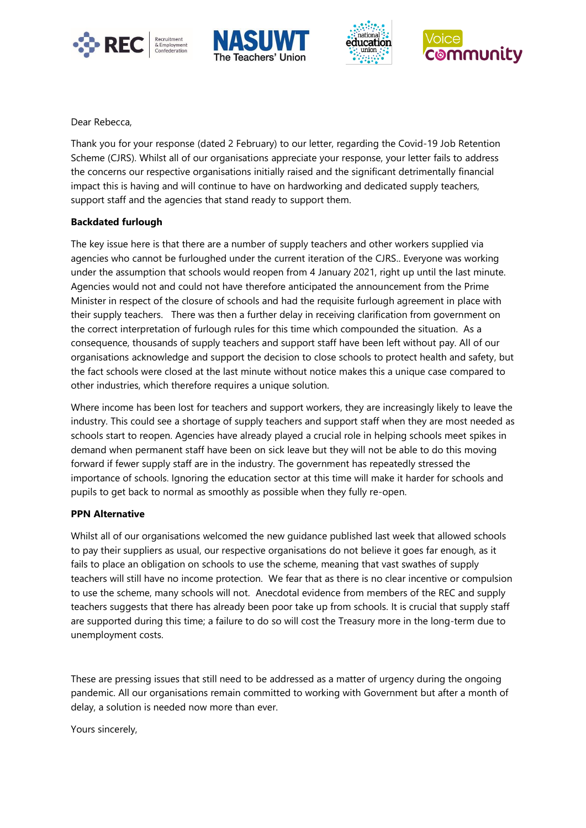







Dear Rebecca,

Thank you for your response (dated 2 February) to our letter, regarding the Covid-19 Job Retention Scheme (CJRS). Whilst all of our organisations appreciate your response, your letter fails to address the concerns our respective organisations initially raised and the significant detrimentally financial impact this is having and will continue to have on hardworking and dedicated supply teachers, support staff and the agencies that stand ready to support them.

## **Backdated furlough**

The key issue here is that there are a number of supply teachers and other workers supplied via agencies who cannot be furloughed under the current iteration of the CJRS.. Everyone was working under the assumption that schools would reopen from 4 January 2021, right up until the last minute. Agencies would not and could not have therefore anticipated the announcement from the Prime Minister in respect of the closure of schools and had the requisite furlough agreement in place with their supply teachers. There was then a further delay in receiving clarification from government on the correct interpretation of furlough rules for this time which compounded the situation. As a consequence, thousands of supply teachers and support staff have been left without pay. All of our organisations acknowledge and support the decision to close schools to protect health and safety, but the fact schools were closed at the last minute without notice makes this a unique case compared to other industries, which therefore requires a unique solution.

Where income has been lost for teachers and support workers, they are increasingly likely to leave the industry. This could see a shortage of supply teachers and support staff when they are most needed as schools start to reopen. Agencies have already played a crucial role in helping schools meet spikes in demand when permanent staff have been on sick leave but they will not be able to do this moving forward if fewer supply staff are in the industry. The government has repeatedly stressed the importance of schools. Ignoring the education sector at this time will make it harder for schools and pupils to get back to normal as smoothly as possible when they fully re-open.

## **PPN Alternative**

Whilst all of our organisations welcomed the new guidance published last week that allowed schools to pay their suppliers as usual, our respective organisations do not believe it goes far enough, as it fails to place an obligation on schools to use the scheme, meaning that vast swathes of supply teachers will still have no income protection. We fear that as there is no clear incentive or compulsion to use the scheme, many schools will not. Anecdotal evidence from members of the REC and supply teachers suggests that there has already been poor take up from schools. It is crucial that supply staff are supported during this time; a failure to do so will cost the Treasury more in the long-term due to unemployment costs.

These are pressing issues that still need to be addressed as a matter of urgency during the ongoing pandemic. All our organisations remain committed to working with Government but after a month of delay, a solution is needed now more than ever.

Yours sincerely,